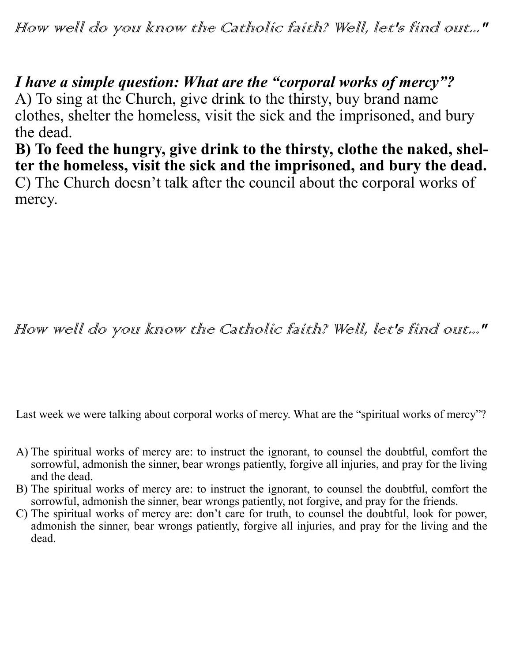How well do you know the Catholic faith? Well, let's find out..."

*I have a simple question: What are the "corporal works of mercy"?*

A) To sing at the Church, give drink to the thirsty, buy brand name clothes, shelter the homeless, visit the sick and the imprisoned, and bury the dead.

**B) To feed the hungry, give drink to the thirsty, clothe the naked, shelter the homeless, visit the sick and the imprisoned, and bury the dead.** C) The Church doesn't talk after the council about the corporal works of mercy.

How well do you know the Catholic faith? Well, let's find out..."

Last week we were talking about corporal works of mercy. What are the "spiritual works of mercy"?

- A) The spiritual works of mercy are: to instruct the ignorant, to counsel the doubtful, comfort the sorrowful, admonish the sinner, bear wrongs patiently, forgive all injuries, and pray for the living and the dead.
- B) The spiritual works of mercy are: to instruct the ignorant, to counsel the doubtful, comfort the sorrowful, admonish the sinner, bear wrongs patiently, not forgive, and pray for the friends.
- C) The spiritual works of mercy are: don't care for truth, to counsel the doubtful, look for power, admonish the sinner, bear wrongs patiently, forgive all injuries, and pray for the living and the dead.